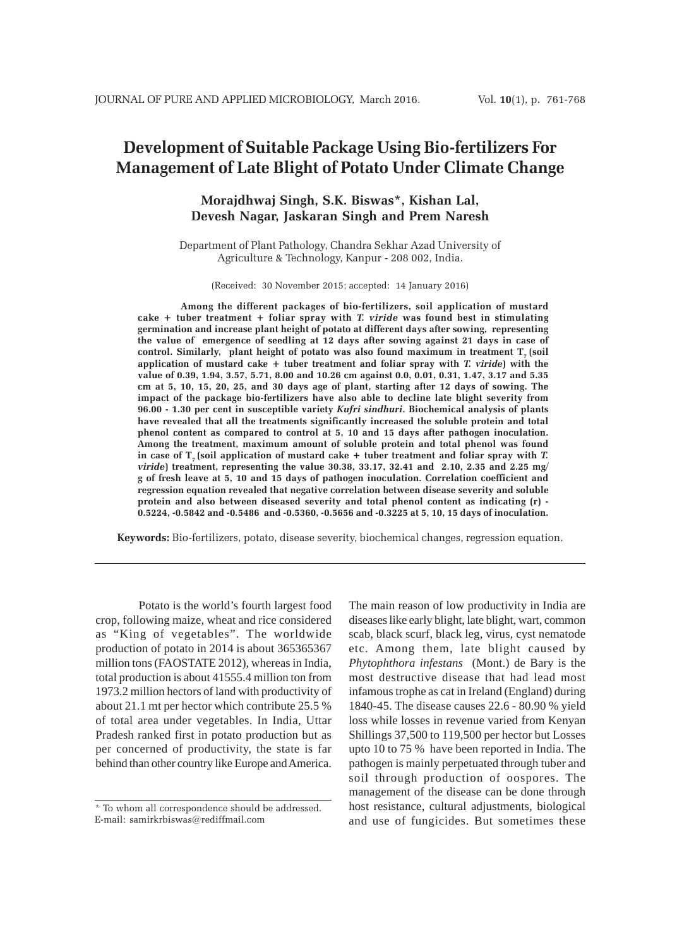# **Development of Suitable Package Using Bio-fertilizers For Management of Late Blight of Potato Under Climate Change**

## **Morajdhwaj Singh, S.K. Biswas\*, Kishan Lal, Devesh Nagar, Jaskaran Singh and Prem Naresh**

Department of Plant Pathology, Chandra Sekhar Azad University of Agriculture & Technology, Kanpur - 208 002, India.

(Received: 30 November 2015; accepted: 14 January 2016)

**Among the different packages of bio-fertilizers, soil application of mustard cake + tuber treatment + foliar spray with** *T. viride* **was found best in stimulating germination and increase plant height of potato at different days after sowing, representing the value of emergence of seedling at 12 days after sowing against 21 days in case of** control. Similarly, plant height of potato was also found maximum in treatment T<sub>r</sub> (soil **application of mustard cake + tuber treatment and foliar spray with** *T. viride***) with the value of 0.39, 1.94, 3.57, 5.71, 8.00 and 10.26 cm against 0.0, 0.01, 0.31, 1.47, 3.17 and 5.35 cm at 5, 10, 15, 20, 25, and 30 days age of plant, starting after 12 days of sowing. The impact of the package bio-fertilizers have also able to decline late blight severity from 96.00 - 1.30 per cent in susceptible variety** *Kufri sindhuri***. Biochemical analysis of plants have revealed that all the treatments significantly increased the soluble protein and total phenol content as compared to control at 5, 10 and 15 days after pathogen inoculation. Among the treatment, maximum amount of soluble protein and total phenol was found** in case of  $T<sub>7</sub>$  (soil application of mustard cake  $+$  tuber treatment and foliar spray with *T*. *viride***) treatment, representing the value 30.38, 33.17, 32.41 and 2.10, 2.35 and 2.25 mg/ g of fresh leave at 5, 10 and 15 days of pathogen inoculation. Correlation coefficient and regression equation revealed that negative correlation between disease severity and soluble protein and also between diseased severity and total phenol content as indicating (r) - 0.5224, -0.5842 and -0.5486 and -0.5360, -0.5656 and -0.3225 at 5, 10, 15 days of inoculation.**

**Keywords:** Bio-fertilizers, potato, disease severity, biochemical changes, regression equation.

Potato is the world's fourth largest food crop, following maize, wheat and rice considered as "King of vegetables". The worldwide production of potato in 2014 is about 365365367 million tons (FAOSTATE 2012), whereas in India, total production is about 41555.4 million ton from 1973.2 million hectors of land with productivity of about 21.1 mt per hector which contribute 25.5 % of total area under vegetables. In India, Uttar Pradesh ranked first in potato production but as per concerned of productivity, the state is far behind than other country like Europe and America.

The main reason of low productivity in India are diseases like early blight, late blight, wart, common scab, black scurf, black leg, virus, cyst nematode etc. Among them, late blight caused by *Phytophthora infestans* (Mont.) de Bary is the most destructive disease that had lead most infamous trophe as cat in Ireland (England) during 1840-45. The disease causes 22.6 - 80.90 % yield loss while losses in revenue varied from Kenyan Shillings 37,500 to 119,500 per hector but Losses upto 10 to 75 % have been reported in India. The pathogen is mainly perpetuated through tuber and soil through production of oospores. The management of the disease can be done through host resistance, cultural adjustments, biological and use of fungicides. But sometimes these

<sup>\*</sup> To whom all correspondence should be addressed. E-mail: samirkrbiswas@rediffmail.com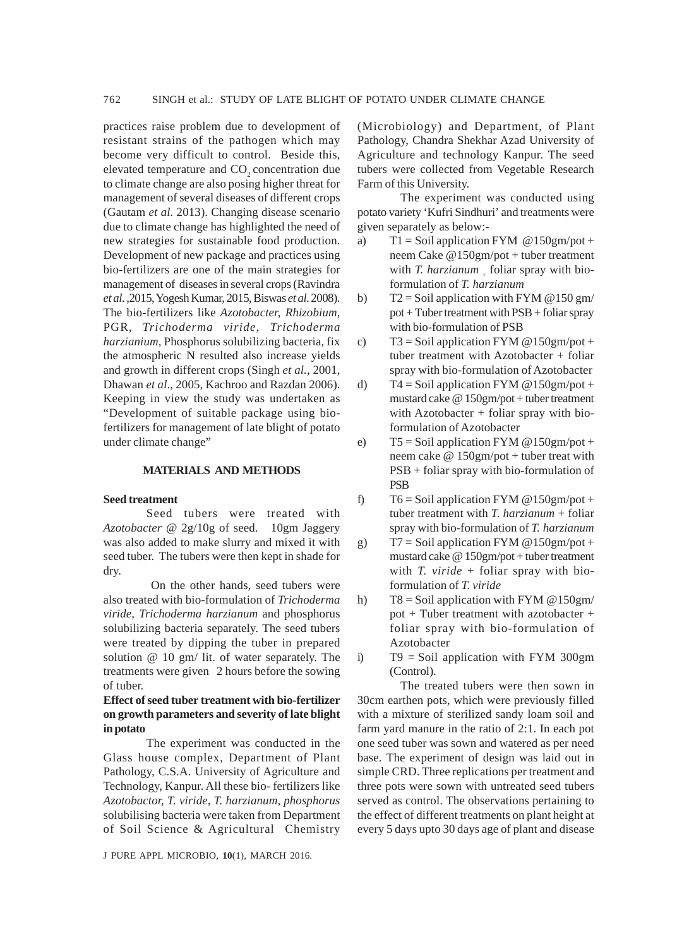practices raise problem due to development of resistant strains of the pathogen which may become very difficult to control. Beside this, elevated temperature and CO<sub>2</sub> concentration due to climate change are also posing higher threat for management of several diseases of different crops (Gautam *et al.* 2013). Changing disease scenario due to climate change has highlighted the need of new strategies for sustainable food production. Development of new package and practices using bio-fertilizers are one of the main strategies for management of diseases in several crops (Ravindra *et al*. ,2015, Yogesh Kumar, 2015, Biswas *et al*. 2008). The bio-fertilizers like *Azotobacter, Rhizobium,* PGR*, Trichoderma viride, Trichoderma harzianium,* Phosphorus solubilizing bacteria, fix the atmospheric N resulted also increase yields and growth in different crops (Singh *et al.,* 2001, Dhawan *et al*., 2005, Kachroo and Razdan 2006). Keeping in view the study was undertaken as "Development of suitable package using biofertilizers for management of late blight of potato under climate change"

#### **MATERIALS AND METHODS**

### **Seed treatment**

Seed tubers were treated with *Azotobacter* @ 2g/10g of seed. 10gm Jaggery was also added to make slurry and mixed it with seed tuber. The tubers were then kept in shade for dry.

 On the other hands, seed tubers were also treated with bio-formulation of *Trichoderma viride, Trichoderma harzianum* and phosphorus solubilizing bacteria separately. The seed tubers were treated by dipping the tuber in prepared solution @ 10 gm/ lit. of water separately. The treatments were given 2 hours before the sowing of tuber.

### **Effect of seed tuber treatment with bio-fertilizer on growth parameters and severity of late blight in potato**

The experiment was conducted in the Glass house complex, Department of Plant Pathology, C.S.A. University of Agriculture and Technology, Kanpur. All these bio- fertilizers like *Azotobactor, T. viride, T. harzianum, phosphorus* solubilising bacteria were taken from Department of Soil Science & Agricultural Chemistry

J PURE APPL MICROBIO*,* **10**(1), MARCH 2016.

(Microbiology) and Department, of Plant Pathology, Chandra Shekhar Azad University of Agriculture and technology Kanpur. The seed tubers were collected from Vegetable Research Farm of this University.

The experiment was conducted using potato variety 'Kufri Sindhuri' and treatments were given separately as below:-

- a)  $T1 = Soil$  application FYM @150gm/pot + neem Cake @150gm/pot + tuber treatment with *T. harzianum* foliar spray with bioformulation of *T. harzianum*
- b)  $T2 = Soil$  application with FYM @150 gm/  $pot + Tuber treatment with PSB + foliar spray$ with bio-formulation of PSB
- c)  $T3 = Soil$  application FYM @150gm/pot + tuber treatment with Azotobacter + foliar spray with bio-formulation of Azotobacter
- d)  $T4 = Soil application FYM @ 150gm/pot +$ mustard cake @ 150gm/pot + tuber treatment with Azotobacter  $+$  foliar spray with bioformulation of Azotobacter
- e)  $T5 = Soil application FYM @150gm/pot +$ neem cake @ 150gm/pot + tuber treat with PSB + foliar spray with bio-formulation of PSB

f)  $T6 = Soil application FYM @150gm/pot +$ tuber treatment with *T. harzianum* + foliar spray with bio-formulation of *T. harzianum*

g)  $T7 = Soil$  application FYM @150gm/pot + mustard cake @ 150gm/pot + tuber treatment with *T. viride* + foliar spray with bioformulation of *T. viride*

- h)  $T8 = Soil$  application with FYM @150gm/ pot + Tuber treatment with azotobacter + foliar spray with bio-formulation of Azotobacter
- i)  $T9 = Soil$  application with FYM 300gm (Control).

The treated tubers were then sown in 30cm earthen pots, which were previously filled with a mixture of sterilized sandy loam soil and farm yard manure in the ratio of 2:1. In each pot one seed tuber was sown and watered as per need base. The experiment of design was laid out in simple CRD. Three replications per treatment and three pots were sown with untreated seed tubers served as control. The observations pertaining to the effect of different treatments on plant height at every 5 days upto 30 days age of plant and disease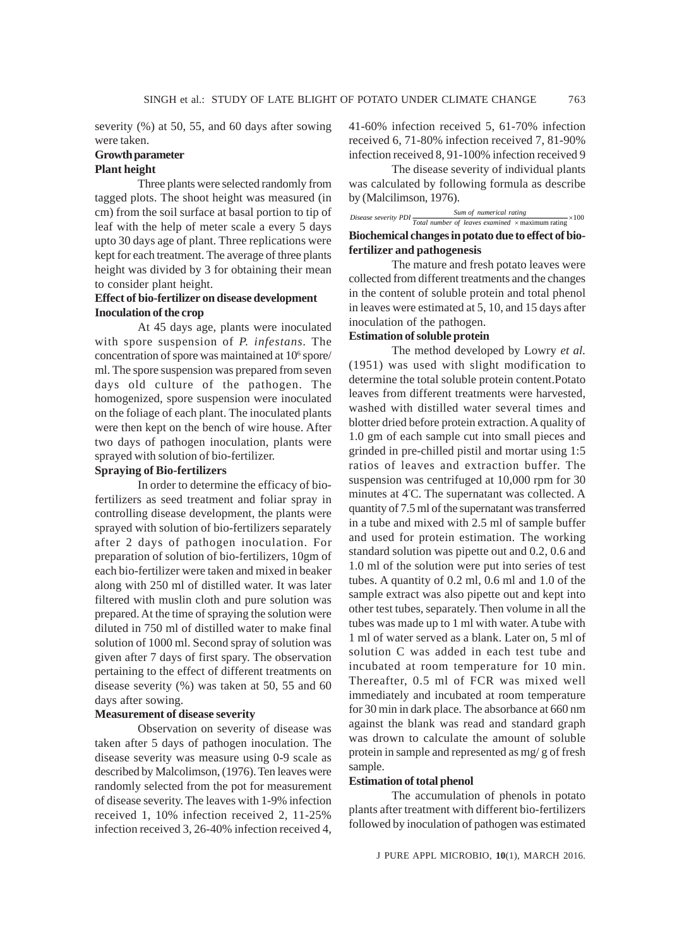severity (%) at 50, 55, and 60 days after sowing were taken.

## **Growth parameter**

## **Plant height**

Three plants were selected randomly from tagged plots. The shoot height was measured (in cm) from the soil surface at basal portion to tip of leaf with the help of meter scale a every 5 days upto 30 days age of plant. Three replications were kept for each treatment. The average of three plants height was divided by 3 for obtaining their mean to consider plant height.

## **Effect of bio-fertilizer on disease development Inoculation of the crop**

At 45 days age, plants were inoculated with spore suspension of *P. infestans.* The concentration of spore was maintained at 10<sup>6</sup> spore/ ml. The spore suspension was prepared from seven days old culture of the pathogen. The homogenized, spore suspension were inoculated on the foliage of each plant. The inoculated plants were then kept on the bench of wire house. After two days of pathogen inoculation, plants were sprayed with solution of bio-fertilizer.

#### **Spraying of Bio-fertilizers**

In order to determine the efficacy of biofertilizers as seed treatment and foliar spray in controlling disease development, the plants were sprayed with solution of bio-fertilizers separately after 2 days of pathogen inoculation. For preparation of solution of bio-fertilizers, 10gm of each bio-fertilizer were taken and mixed in beaker along with 250 ml of distilled water. It was later filtered with muslin cloth and pure solution was prepared. At the time of spraying the solution were diluted in 750 ml of distilled water to make final solution of 1000 ml. Second spray of solution was given after 7 days of first spary. The observation pertaining to the effect of different treatments on disease severity (%) was taken at 50, 55 and 60 days after sowing.

#### **Measurement of disease severity**

Observation on severity of disease was taken after 5 days of pathogen inoculation. The disease severity was measure using 0-9 scale as described by Malcolimson, (1976). Ten leaves were randomly selected from the pot for measurement of disease severity. The leaves with 1-9% infection received 1, 10% infection received 2, 11-25% infection received 3, 26-40% infection received 4,

41-60% infection received 5, 61-70% infection received 6, 71-80% infection received 7, 81-90% infection received 8, 91-100% infection received 9

The disease severity of individual plants was calculated by following formula as describe by (Malcilimson, 1976).

*Sum of numerical rating*  $\frac{Sum of numerical rating}{Total number of leaves examined \times maximum rating} \times 100$ **Biochemical changes in potato due to effect of biofertilizer and pathogenesis**

The mature and fresh potato leaves were collected from different treatments and the changes in the content of soluble protein and total phenol in leaves were estimated at 5, 10, and 15 days after inoculation of the pathogen.

## **Estimation of soluble protein**

The method developed by Lowry *et al.* (1951) was used with slight modification to determine the total soluble protein content.Potato leaves from different treatments were harvested, washed with distilled water several times and blotter dried before protein extraction. A quality of 1.0 gm of each sample cut into small pieces and grinded in pre-chilled pistil and mortar using 1:5 ratios of leaves and extraction buffer. The suspension was centrifuged at 10,000 rpm for 30 minutes at 4º C. The supernatant was collected. A quantity of 7.5 ml of the supernatant was transferred in a tube and mixed with 2.5 ml of sample buffer and used for protein estimation. The working standard solution was pipette out and 0.2, 0.6 and 1.0 ml of the solution were put into series of test tubes. A quantity of 0.2 ml, 0.6 ml and 1.0 of the sample extract was also pipette out and kept into other test tubes, separately. Then volume in all the tubes was made up to 1 ml with water. A tube with 1 ml of water served as a blank. Later on, 5 ml of solution C was added in each test tube and incubated at room temperature for 10 min. Thereafter, 0.5 ml of FCR was mixed well immediately and incubated at room temperature for 30 min in dark place. The absorbance at 660 nm against the blank was read and standard graph was drown to calculate the amount of soluble protein in sample and represented as mg/ g of fresh sample.

#### **Estimation of total phenol**

The accumulation of phenols in potato plants after treatment with different bio-fertilizers followed by inoculation of pathogen was estimated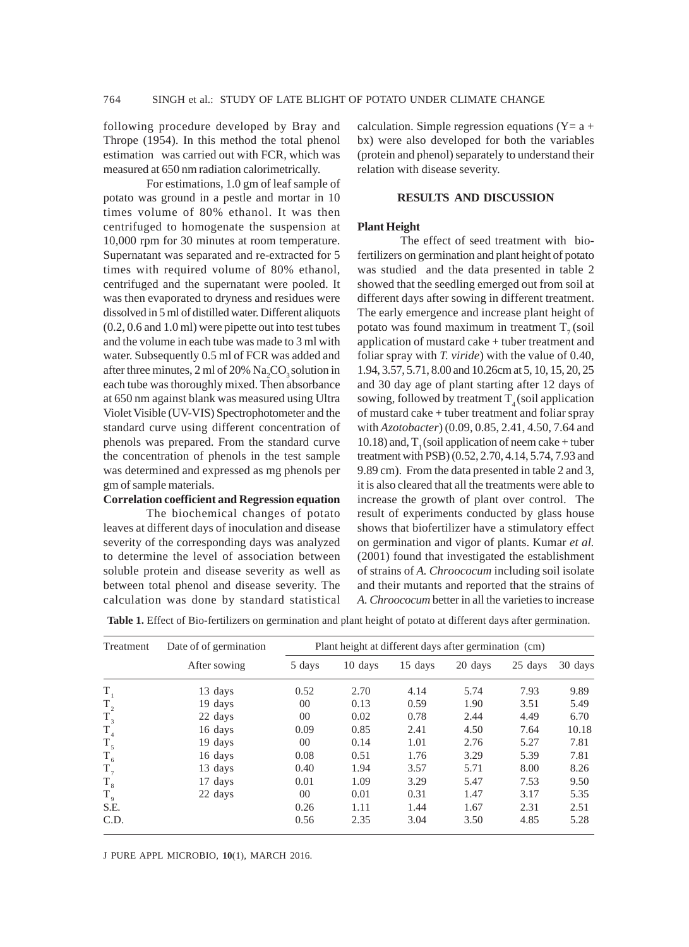following procedure developed by Bray and Thrope (1954). In this method the total phenol estimation was carried out with FCR, which was measured at 650 nm radiation calorimetrically.

For estimations, 1.0 gm of leaf sample of potato was ground in a pestle and mortar in 10 times volume of 80% ethanol. It was then centrifuged to homogenate the suspension at 10,000 rpm for 30 minutes at room temperature. Supernatant was separated and re-extracted for 5 times with required volume of 80% ethanol, centrifuged and the supernatant were pooled. It was then evaporated to dryness and residues were dissolved in 5 ml of distilled water. Different aliquots (0.2, 0.6 and 1.0 ml) were pipette out into test tubes and the volume in each tube was made to 3 ml with water. Subsequently 0.5 ml of FCR was added and after three minutes, 2 ml of 20%  $\mathrm{Na_{2}CO_{3}}$  solution in each tube was thoroughly mixed. Then absorbance at 650 nm against blank was measured using Ultra Violet Visible (UV-VIS) Spectrophotometer and the standard curve using different concentration of phenols was prepared. From the standard curve the concentration of phenols in the test sample was determined and expressed as mg phenols per gm of sample materials.

#### **Correlation coefficient and Regression equation**

The biochemical changes of potato leaves at different days of inoculation and disease severity of the corresponding days was analyzed to determine the level of association between soluble protein and disease severity as well as between total phenol and disease severity. The calculation was done by standard statistical calculation. Simple regression equations ( $Y = a +$ bx) were also developed for both the variables (protein and phenol) separately to understand their relation with disease severity.

## **RESULTS AND DISCUSSION**

#### **Plant Height**

The effect of seed treatment with biofertilizers on germination and plant height of potato was studied and the data presented in table 2 showed that the seedling emerged out from soil at different days after sowing in different treatment. The early emergence and increase plant height of potato was found maximum in treatment  $T<sub>7</sub>$  (soil application of mustard cake + tuber treatment and foliar spray with *T. viride*) with the value of 0.40, 1.94, 3.57, 5.71, 8.00 and 10.26cm at 5, 10, 15, 20, 25 and 30 day age of plant starting after 12 days of sowing, followed by treatment  $T<sub>4</sub>$  (soil application of mustard cake + tuber treatment and foliar spray with *Azotobacter*) (0.09, 0.85, 2.41, 4.50, 7.64 and  $10.18$ ) and, T<sub>1</sub> (soil application of neem cake + tuber treatment with PSB) (0.52, 2.70, 4.14, 5.74, 7.93 and 9.89 cm). From the data presented in table 2 and 3, it is also cleared that all the treatments were able to increase the growth of plant over control. The result of experiments conducted by glass house shows that biofertilizer have a stimulatory effect on germination and vigor of plants. Kumar *et al.* (2001) found that investigated the establishment of strains of *A. Chroococum* including soil isolate and their mutants and reported that the strains of *A. Chroococum* better in all the varieties to increase

**Table 1.** Effect of Bio-fertilizers on germination and plant height of potato at different days after germination.

| Treatment   | Date of of germination | Plant height at different days after germination (cm) |         |         |         |         |         |
|-------------|------------------------|-------------------------------------------------------|---------|---------|---------|---------|---------|
|             | After sowing           | 5 days                                                | 10 days | 15 days | 20 days | 25 days | 30 days |
| $T_{1}$     | 13 days                | 0.52                                                  | 2.70    | 4.14    | 5.74    | 7.93    | 9.89    |
| $T_{2}$     | 19 days                | 00                                                    | 0.13    | 0.59    | 1.90    | 3.51    | 5.49    |
| $T_{3}$     | 22 days                | 00                                                    | 0.02    | 0.78    | 2.44    | 4.49    | 6.70    |
| $T_{4}$     | 16 days                | 0.09                                                  | 0.85    | 2.41    | 4.50    | 7.64    | 10.18   |
| $T_{5}$     | 19 days                | 00                                                    | 0.14    | 1.01    | 2.76    | 5.27    | 7.81    |
| $T_{6}$     | 16 days                | 0.08                                                  | 0.51    | 1.76    | 3.29    | 5.39    | 7.81    |
| $T_{7}$     | 13 days                | 0.40                                                  | 1.94    | 3.57    | 5.71    | 8.00    | 8.26    |
| $T_{8}$     | 17 days                | 0.01                                                  | 1.09    | 3.29    | 5.47    | 7.53    | 9.50    |
| $T_{\rm 9}$ | 22 days                | 00                                                    | 0.01    | 0.31    | 1.47    | 3.17    | 5.35    |
| S.E.        |                        | 0.26                                                  | 1.11    | 1.44    | 1.67    | 2.31    | 2.51    |
| C.D.        |                        | 0.56                                                  | 2.35    | 3.04    | 3.50    | 4.85    | 5.28    |

J PURE APPL MICROBIO*,* **10**(1), MARCH 2016.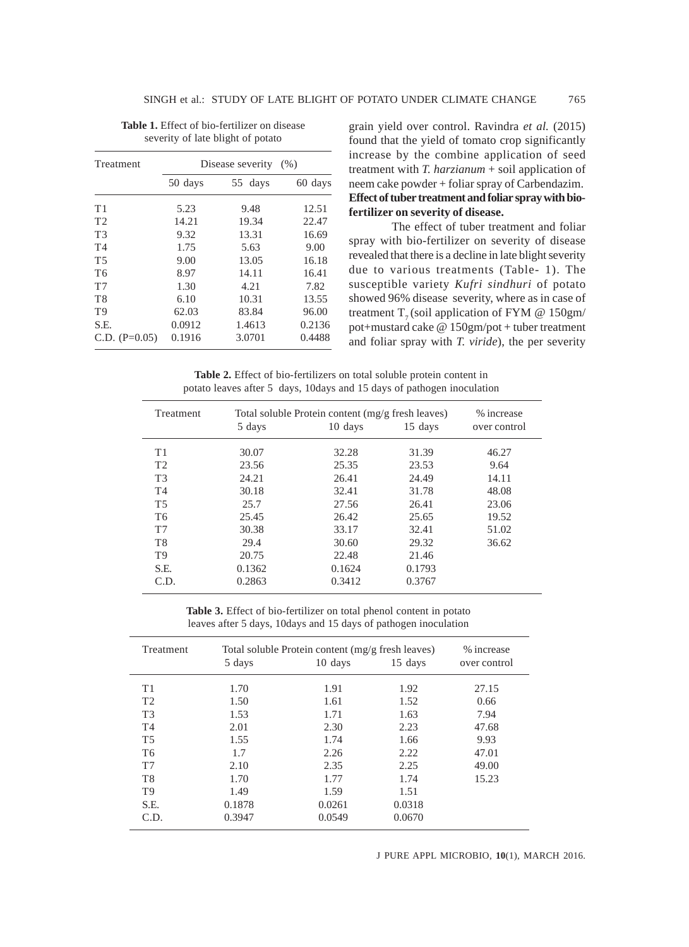| Treatment       | Disease severity<br>(% ) |         |         |  |  |
|-----------------|--------------------------|---------|---------|--|--|
|                 | 50 days                  | 55 days | 60 days |  |  |
| T1              | 5.23                     | 9.48    | 12.51   |  |  |
| T <sub>2</sub>  | 14.21                    | 19.34   | 22.47   |  |  |
| T <sub>3</sub>  | 9.32                     | 13.31   | 16.69   |  |  |
| T <sub>4</sub>  | 1.75                     | 5.63    | 9.00    |  |  |
| T <sub>5</sub>  | 9.00                     | 13.05   | 16.18   |  |  |
| T <sub>6</sub>  | 8.97                     | 14.11   | 16.41   |  |  |
| T7              | 1.30                     | 4.21    | 7.82    |  |  |
| T8              | 6.10                     | 10.31   | 13.55   |  |  |
| T9              | 62.03                    | 83.84   | 96.00   |  |  |
| S.E.            | 0.0912                   | 1.4613  | 0.2136  |  |  |
| C.D. $(P=0.05)$ | 0.1916                   | 3.0701  | 0.4488  |  |  |

| <b>Table 1.</b> Effect of bio-fertilizer on disease |  |
|-----------------------------------------------------|--|
| severity of late blight of potato                   |  |

grain yield over control. Ravindra *et al.* (2015) found that the yield of tomato crop significantly increase by the combine application of seed treatment with *T. harzianum* + soil application of neem cake powder + foliar spray of Carbendazim. **Effect of tuber treatment and foliar spray with biofertilizer on severity of disease.**

The effect of tuber treatment and foliar spray with bio-fertilizer on severity of disease revealed that there is a decline in late blight severity due to various treatments (Table- 1). The susceptible variety *Kufri sindhuri* of potato showed 96% disease severity, where as in case of treatment  $T<sub>7</sub>$  (soil application of FYM @ 150gm/ pot+mustard cake @ 150gm/pot + tuber treatment and foliar spray with *T. viride*), the per severity

**Table 2.** Effect of bio-fertilizers on total soluble protein content in potato leaves after 5 days, 10days and 15 days of pathogen inoculation

| Treatment      | Total soluble Protein content (mg/g fresh leaves) |         |         |              |
|----------------|---------------------------------------------------|---------|---------|--------------|
|                | 5 days                                            | 10 days | 15 days | over control |
| T1             | 30.07                                             | 32.28   | 31.39   | 46.27        |
| T <sub>2</sub> | 23.56                                             | 25.35   | 23.53   | 9.64         |
| T <sub>3</sub> | 24.21                                             | 26.41   | 24.49   | 14.11        |
| T <sub>4</sub> | 30.18                                             | 32.41   | 31.78   | 48.08        |
| T <sub>5</sub> | 25.7                                              | 27.56   | 26.41   | 23.06        |
| T <sub>6</sub> | 25.45                                             | 26.42   | 25.65   | 19.52        |
| T <sub>7</sub> | 30.38                                             | 33.17   | 32.41   | 51.02        |
| T <sub>8</sub> | 29.4                                              | 30.60   | 29.32   | 36.62        |
| T <sub>9</sub> | 20.75                                             | 22.48   | 21.46   |              |
| S.E.           | 0.1362                                            | 0.1624  | 0.1793  |              |
| C.D.           | 0.2863                                            | 0.3412  | 0.3767  |              |

**Table 3.** Effect of bio-fertilizer on total phenol content in potato leaves after 5 days, 10days and 15 days of pathogen inoculation

| Treatment      | Total soluble Protein content (mg/g fresh leaves) | % increase |         |              |
|----------------|---------------------------------------------------|------------|---------|--------------|
|                | 5 days                                            | 10 days    | 15 days | over control |
| T1             | 1.70                                              | 1.91       | 1.92    | 27.15        |
| T <sub>2</sub> | 1.50                                              | 1.61       | 1.52    | 0.66         |
| T <sub>3</sub> | 1.53                                              | 1.71       | 1.63    | 7.94         |
| T <sub>4</sub> | 2.01                                              | 2.30       | 2.23    | 47.68        |
| T <sub>5</sub> | 1.55                                              | 1.74       | 1.66    | 9.93         |
| T <sub>6</sub> | 1.7                                               | 2.26       | 2.22    | 47.01        |
| T <sub>7</sub> | 2.10                                              | 2.35       | 2.25    | 49.00        |
| T <sub>8</sub> | 1.70                                              | 1.77       | 1.74    | 15.23        |
| T <sub>9</sub> | 1.49                                              | 1.59       | 1.51    |              |
| S.E.           | 0.1878                                            | 0.0261     | 0.0318  |              |
| C.D.           | 0.3947                                            | 0.0549     | 0.0670  |              |

J PURE APPL MICROBIO*,* **10**(1), MARCH 2016.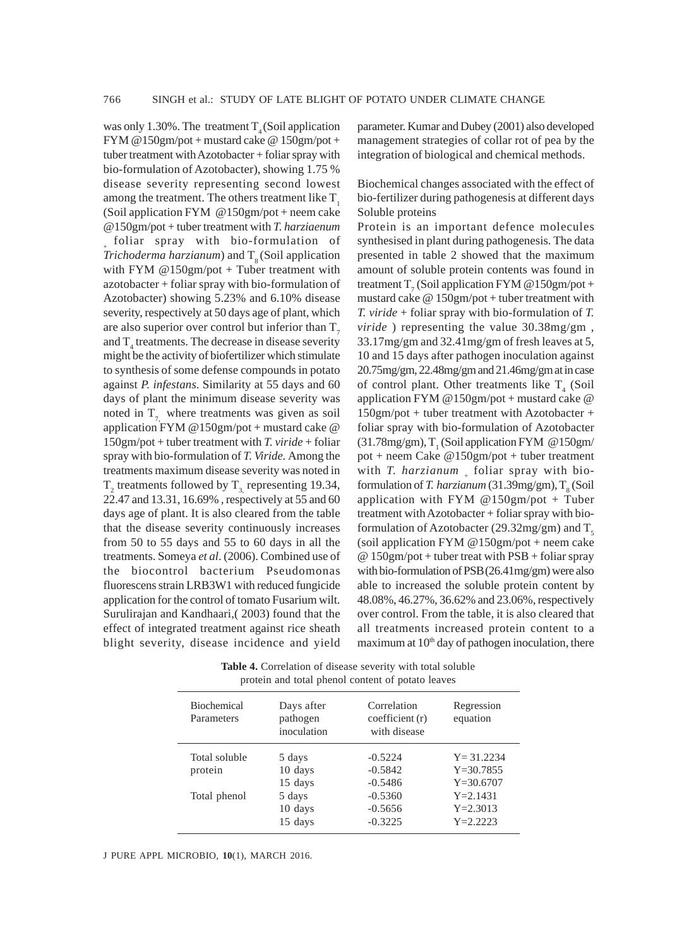was only 1.30%. The treatment  $T<sub>4</sub>$  (Soil application FYM @150gm/pot + mustard cake @ 150gm/pot + tuber treatment with Azotobacter + foliar spray with bio-formulation of Azotobacter), showing 1.75 % disease severity representing second lowest among the treatment. The others treatment like  $T<sub>1</sub>$ (Soil application FYM @150gm/pot + neem cake @150gm/pot + tuber treatment with *T. harziaenum* foliar spray with bio-formulation of *Trichoderma harzianum*) and  $T<sub>s</sub>$  (Soil application with FYM  $@150gm/pot + Tuber treatment with$ azotobacter + foliar spray with bio-formulation of Azotobacter) showing 5.23% and 6.10% disease severity, respectively at 50 days age of plant, which are also superior over control but inferior than  $T<sub>z</sub>$ and  $T_4$  treatments. The decrease in disease severity might be the activity of biofertilizer which stimulate to synthesis of some defense compounds in potato against *P. infestans*. Similarity at 55 days and 60 days of plant the minimum disease severity was noted in  $T<sub>7</sub>$  where treatments was given as soil application FYM @150gm/pot + mustard cake @ 150gm/pot + tuber treatment with *T. viride* + foliar spray with bio-formulation of *T. Viride.* Among the treatments maximum disease severity was noted in  $T_2$  treatments followed by  $T_{3}$  representing 19.34, 22.47 and 13.31, 16.69% , respectively at 55 and 60 days age of plant. It is also cleared from the table that the disease severity continuously increases from 50 to 55 days and 55 to 60 days in all the treatments. Someya *et al*. (2006). Combined use of the biocontrol bacterium Pseudomonas fluorescens strain LRB3W1 with reduced fungicide application for the control of tomato Fusarium wilt. Surulirajan and Kandhaari,( 2003) found that the effect of integrated treatment against rice sheath blight severity, disease incidence and yield

parameter. Kumar and Dubey (2001) also developed management strategies of collar rot of pea by the integration of biological and chemical methods.

Biochemical changes associated with the effect of bio-fertilizer during pathogenesis at different days Soluble proteins

Protein is an important defence molecules synthesised in plant during pathogenesis. The data presented in table 2 showed that the maximum amount of soluble protein contents was found in treatment  $T_7$  (Soil application FYM @150gm/pot + mustard cake  $@ 150gm/pot + tuber treatment with$ *T. viride* + foliar spray with bio-formulation of *T. viride* ) representing the value 30.38mg/gm , 33.17mg/gm and 32.41mg/gm of fresh leaves at 5, 10 and 15 days after pathogen inoculation against 20.75mg/gm, 22.48mg/gm and 21.46mg/gm at in case of control plant. Other treatments like  $T_4$  (Soil application FYM @150gm/pot + mustard cake @ 150gm/pot + tuber treatment with Azotobacter + foliar spray with bio-formulation of Azotobacter (31.78mg/gm),  $T_1$  (Soil application FYM @150gm/ pot + neem Cake @150gm/pot + tuber treatment with *T. harzianum* foliar spray with bioformulation of *T. harzianum* (31.39mg/gm), T<sub>8</sub> (Soil application with FYM @150gm/pot + Tuber treatment with Azotobacter + foliar spray with bioformulation of Azotobacter (29.32mg/gm) and  $T<sub>s</sub>$ (soil application FYM @150gm/pot + neem cake  $@ 150gm/pot + tuber treat with PSB + foliar spray$ with bio-formulation of PSB(26.41mg/gm) were also able to increased the soluble protein content by 48.08%, 46.27%, 36.62% and 23.06%, respectively over control. From the table, it is also cleared that all treatments increased protein content to a maximum at  $10<sup>th</sup>$  day of pathogen inoculation, there

**Table 4.** Correlation of disease severity with total soluble protein and total phenol content of potato leaves

| <b>Biochemical</b><br>Parameters | Days after<br>pathogen<br>inoculation | Correlation<br>coefficient (r)<br>with disease | Regression<br>equation |
|----------------------------------|---------------------------------------|------------------------------------------------|------------------------|
| Total soluble                    | 5 days                                | $-0.5224$                                      | $Y = 31.2234$          |
| protein                          | 10 days                               | $-0.5842$                                      | $Y = 30.7855$          |
|                                  | 15 days                               | $-0.5486$                                      | $Y = 30.6707$          |
| Total phenol                     | 5 days                                | $-0.5360$                                      | $Y = 2.1431$           |
|                                  | 10 days                               | $-0.5656$                                      | $Y = 2.3013$           |
|                                  | 15 days                               | $-0.3225$                                      | $Y = 2.2223$           |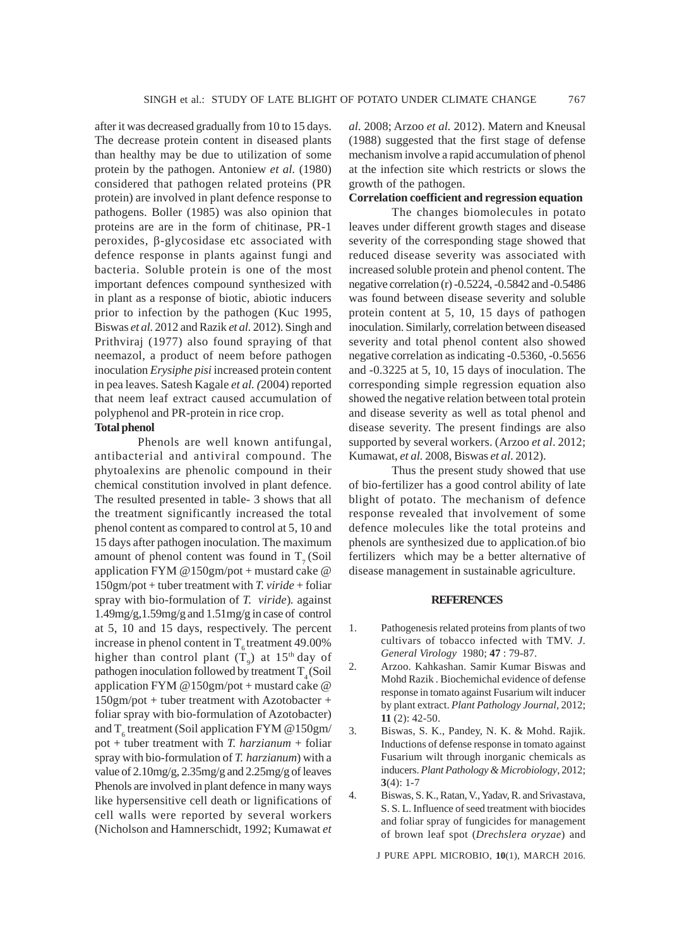after it was decreased gradually from 10 to 15 days. The decrease protein content in diseased plants than healthy may be due to utilization of some protein by the pathogen. Antoniew *et al.* (1980) considered that pathogen related proteins (PR protein) are involved in plant defence response to pathogens. Boller (1985) was also opinion that proteins are are in the form of chitinase, PR-1 peroxides, β-glycosidase etc associated with defence response in plants against fungi and bacteria. Soluble protein is one of the most important defences compound synthesized with in plant as a response of biotic, abiotic inducers prior to infection by the pathogen (Kuc 1995, Biswas *et al.* 2012 and Razik *et al.* 2012). Singh and Prithviraj (1977) also found spraying of that neemazol, a product of neem before pathogen inoculation *Erysiphe pisi* increased protein content in pea leaves. Satesh Kagale *et al. (*2004) reported that neem leaf extract caused accumulation of polyphenol and PR-protein in rice crop.

#### **Total phenol**

Phenols are well known antifungal, antibacterial and antiviral compound. The phytoalexins are phenolic compound in their chemical constitution involved in plant defence. The resulted presented in table- 3 shows that all the treatment significantly increased the total phenol content as compared to control at 5, 10 and 15 days after pathogen inoculation. The maximum amount of phenol content was found in  $T<sub>7</sub>$  (Soil application FYM @150gm/pot + mustard cake @ 150gm/pot + tuber treatment with *T. viride* + foliar spray with bio-formulation of *T. viride*)*.* against 1.49mg/g,1.59mg/g and 1.51mg/g in case of control at 5, 10 and 15 days, respectively. The percent increase in phenol content in  $T<sub>e</sub>$  treatment 49.00% higher than control plant  $(T_{\text{g}})$  at 15<sup>th</sup> day of pathogen inoculation followed by treatment  $T<sub>4</sub>$  (Soil application FYM @150gm/pot + mustard cake @ 150gm/pot + tuber treatment with Azotobacter + foliar spray with bio-formulation of Azotobacter) and  $T_6$  treatment (Soil application FYM @150gm/ pot + tuber treatment with *T. harzianum* + foliar spray with bio-formulation of *T. harzianum*) with a value of 2.10mg/g, 2.35mg/g and 2.25mg/g of leaves Phenols are involved in plant defence in many ways like hypersensitive cell death or lignifications of cell walls were reported by several workers (Nicholson and Hamnerschidt, 1992; Kumawat *et* *al.* 2008; Arzoo *et al.* 2012). Matern and Kneusal (1988) suggested that the first stage of defense mechanism involve a rapid accumulation of phenol at the infection site which restricts or slows the growth of the pathogen.

## **Correlation coefficient and regression equation**

The changes biomolecules in potato leaves under different growth stages and disease severity of the corresponding stage showed that reduced disease severity was associated with increased soluble protein and phenol content. The negative correlation (r) -0.5224, -0.5842 and -0.5486 was found between disease severity and soluble protein content at 5, 10, 15 days of pathogen inoculation. Similarly, correlation between diseased severity and total phenol content also showed negative correlation as indicating -0.5360, -0.5656 and -0.3225 at 5, 10, 15 days of inoculation. The corresponding simple regression equation also showed the negative relation between total protein and disease severity as well as total phenol and disease severity. The present findings are also supported by several workers. (Arzoo *et al*. 2012; Kumawat, *et al.* 2008, Biswas *et al*. 2012).

Thus the present study showed that use of bio-fertilizer has a good control ability of late blight of potato. The mechanism of defence response revealed that involvement of some defence molecules like the total proteins and phenols are synthesized due to application.of bio fertilizers which may be a better alternative of disease management in sustainable agriculture.

#### **REFERENCES**

- 1. Pathogenesis related proteins from plants of two cultivars of tobacco infected with TMV. *J. General Virology* 1980; **47** : 79-87.
- 2. Arzoo. Kahkashan. Samir Kumar Biswas and Mohd Razik . Biochemichal evidence of defense response in tomato against Fusarium wilt inducer by plant extract. *Plant Pathology Journal,* 2012; **11** (2): 42-50.
- 3. Biswas, S. K., Pandey, N. K. & Mohd. Rajik. Inductions of defense response in tomato against Fusarium wilt through inorganic chemicals as inducers. *Plant Pathology & Microbiology*, 2012; **3**(4): 1-7
- 4. Biswas, S. K., Ratan, V., Yadav, R. and Srivastava, S. S. L. Influence of seed treatment with biocides and foliar spray of fungicides for management of brown leaf spot (*Drechslera oryzae*) and

J PURE APPL MICROBIO*,* **10**(1), MARCH 2016.